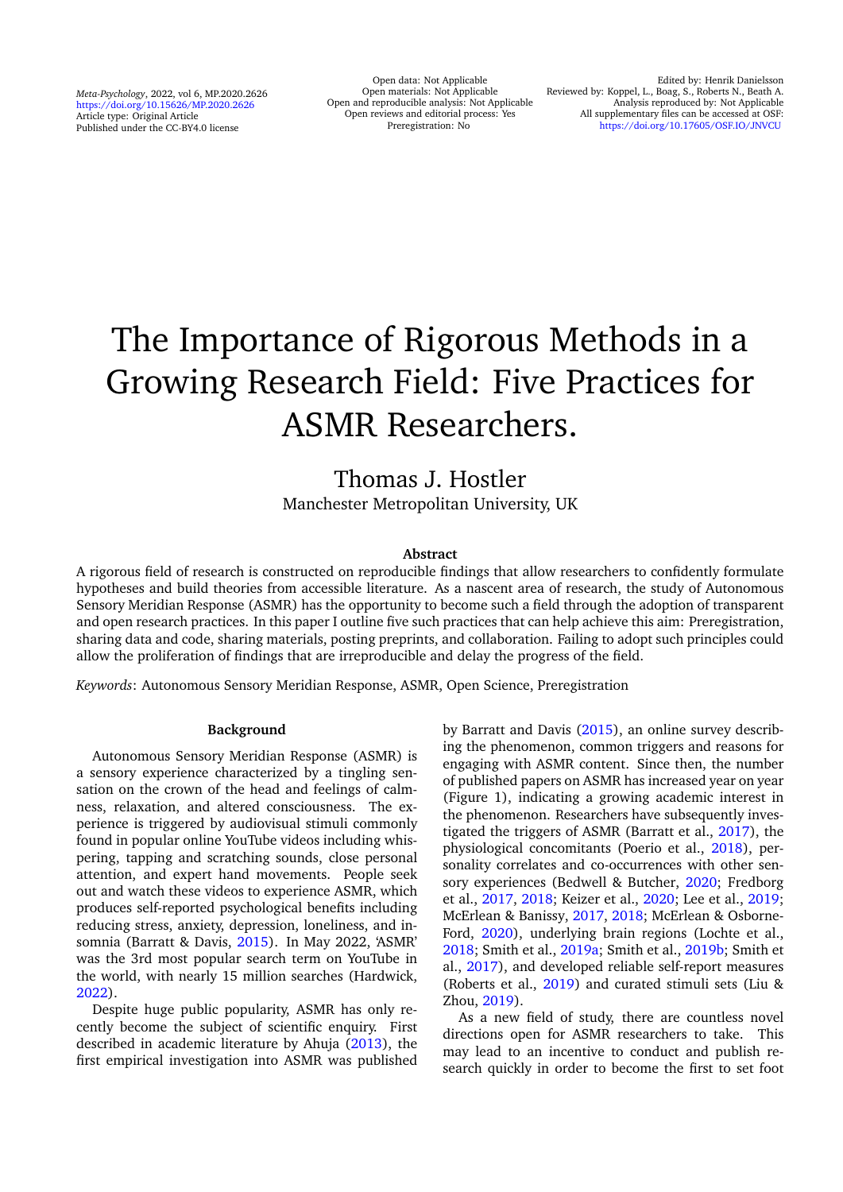*Meta-Psychology*, 2022, vol 6, MP.2020.2626 <https://doi.org/10.15626/MP.2020.2626> Article type: Original Article Published under the CC-BY4.0 license

Open data: Not Applicable Open materials: Not Applicable Open and reproducible analysis: Not Applicable Open reviews and editorial process: Yes Preregistration: No

# The Importance of Rigorous Methods in a Growing Research Field: Five Practices for ASMR Researchers.

# Thomas J. Hostler Manchester Metropolitan University, UK

## **Abstract**

A rigorous field of research is constructed on reproducible findings that allow researchers to confidently formulate hypotheses and build theories from accessible literature. As a nascent area of research, the study of Autonomous Sensory Meridian Response (ASMR) has the opportunity to become such a field through the adoption of transparent and open research practices. In this paper I outline five such practices that can help achieve this aim: Preregistration, sharing data and code, sharing materials, posting preprints, and collaboration. Failing to adopt such principles could allow the proliferation of findings that are irreproducible and delay the progress of the field.

*Keywords*: Autonomous Sensory Meridian Response, ASMR, Open Science, Preregistration

#### **Background**

Autonomous Sensory Meridian Response (ASMR) is a sensory experience characterized by a tingling sensation on the crown of the head and feelings of calmness, relaxation, and altered consciousness. The experience is triggered by audiovisual stimuli commonly found in popular online YouTube videos including whispering, tapping and scratching sounds, close personal attention, and expert hand movements. People seek out and watch these videos to experience ASMR, which produces self-reported psychological benefits including reducing stress, anxiety, depression, loneliness, and insomnia (Barratt & Davis, [2015\)](#page-8-0). In May 2022, 'ASMR' was the 3rd most popular search term on YouTube in the world, with nearly 15 million searches (Hardwick, [2022\)](#page-9-0).

Despite huge public popularity, ASMR has only recently become the subject of scientific enquiry. First described in academic literature by Ahuja [\(2013\)](#page-8-1), the first empirical investigation into ASMR was published by Barratt and Davis [\(2015\)](#page-8-0), an online survey describing the phenomenon, common triggers and reasons for engaging with ASMR content. Since then, the number of published papers on ASMR has increased year on year (Figure 1), indicating a growing academic interest in the phenomenon. Researchers have subsequently investigated the triggers of ASMR (Barratt et al., [2017\)](#page-8-2), the physiological concomitants (Poerio et al., [2018\)](#page-10-0), personality correlates and co-occurrences with other sensory experiences (Bedwell & Butcher, [2020;](#page-8-3) Fredborg et al., [2017,](#page-8-4) [2018;](#page-8-5) Keizer et al., [2020;](#page-9-1) Lee et al., [2019;](#page-9-2) McErlean & Banissy, [2017,](#page-10-1) [2018;](#page-10-2) McErlean & Osborne-Ford, [2020\)](#page-10-3), underlying brain regions (Lochte et al., [2018;](#page-10-4) Smith et al., [2019a;](#page-10-5) Smith et al., [2019b;](#page-10-6) Smith et al., [2017\)](#page-11-0), and developed reliable self-report measures (Roberts et al., [2019\)](#page-10-7) and curated stimuli sets (Liu & Zhou, [2019\)](#page-10-8).

As a new field of study, there are countless novel directions open for ASMR researchers to take. This may lead to an incentive to conduct and publish research quickly in order to become the first to set foot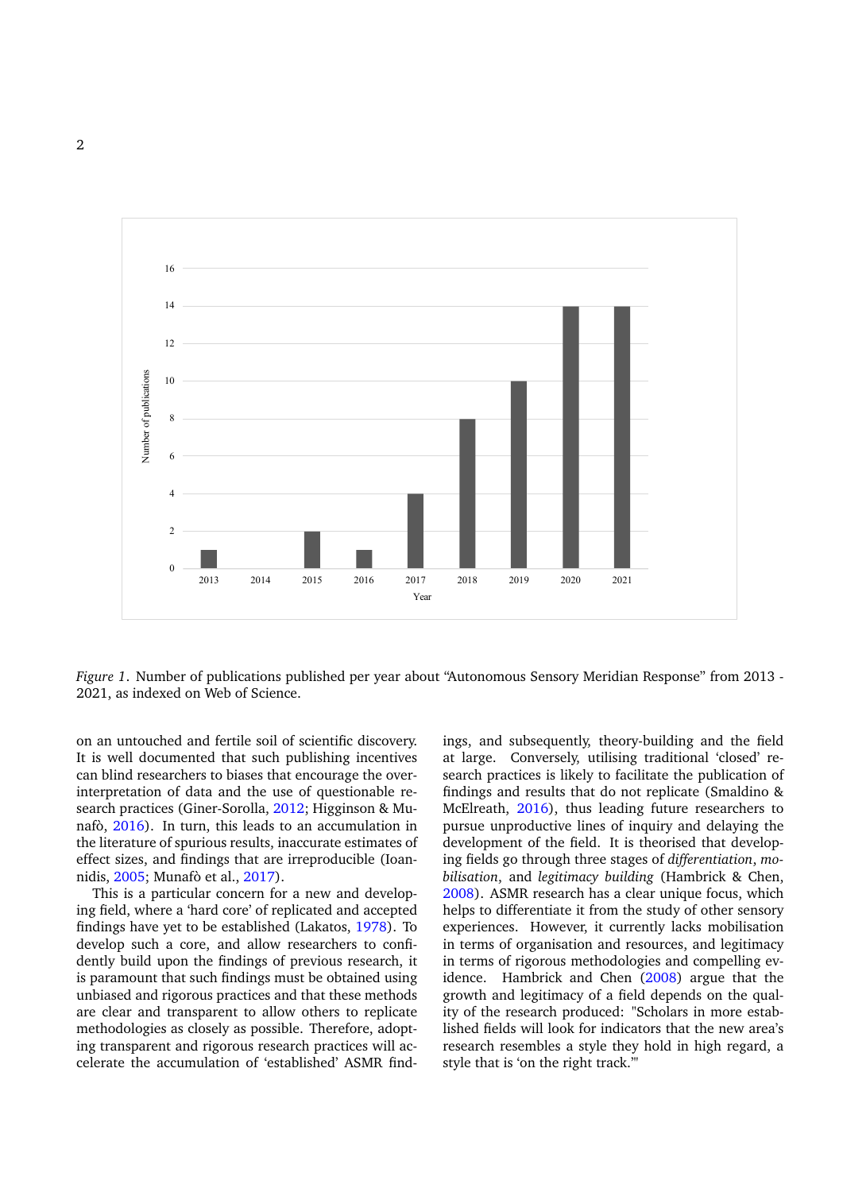

*Figure 1*. Number of publications published per year about "Autonomous Sensory Meridian Response" from 2013 - 2021, as indexed on Web of Science.

on an untouched and fertile soil of scientific discovery. It is well documented that such publishing incentives can blind researchers to biases that encourage the overinterpretation of data and the use of questionable research practices (Giner-Sorolla, [2012;](#page-9-3) Higginson & Munafò, [2016\)](#page-9-4). In turn, this leads to an accumulation in the literature of spurious results, inaccurate estimates of effect sizes, and findings that are irreproducible (Ioannidis, [2005;](#page-9-5) Munafò et al., [2017\)](#page-10-9).

This is a particular concern for a new and developing field, where a 'hard core' of replicated and accepted findings have yet to be established (Lakatos, [1978\)](#page-9-6). To develop such a core, and allow researchers to confidently build upon the findings of previous research, it is paramount that such findings must be obtained using unbiased and rigorous practices and that these methods are clear and transparent to allow others to replicate methodologies as closely as possible. Therefore, adopting transparent and rigorous research practices will accelerate the accumulation of 'established' ASMR findings, and subsequently, theory-building and the field at large. Conversely, utilising traditional 'closed' research practices is likely to facilitate the publication of findings and results that do not replicate (Smaldino & McElreath, [2016\)](#page-10-10), thus leading future researchers to pursue unproductive lines of inquiry and delaying the development of the field. It is theorised that developing fields go through three stages of *differentiation*, *mobilisation*, and *legitimacy building* (Hambrick & Chen, [2008\)](#page-9-7). ASMR research has a clear unique focus, which helps to differentiate it from the study of other sensory experiences. However, it currently lacks mobilisation in terms of organisation and resources, and legitimacy in terms of rigorous methodologies and compelling evidence. Hambrick and Chen [\(2008\)](#page-9-7) argue that the growth and legitimacy of a field depends on the quality of the research produced: "Scholars in more established fields will look for indicators that the new area's research resembles a style they hold in high regard, a style that is 'on the right track.'"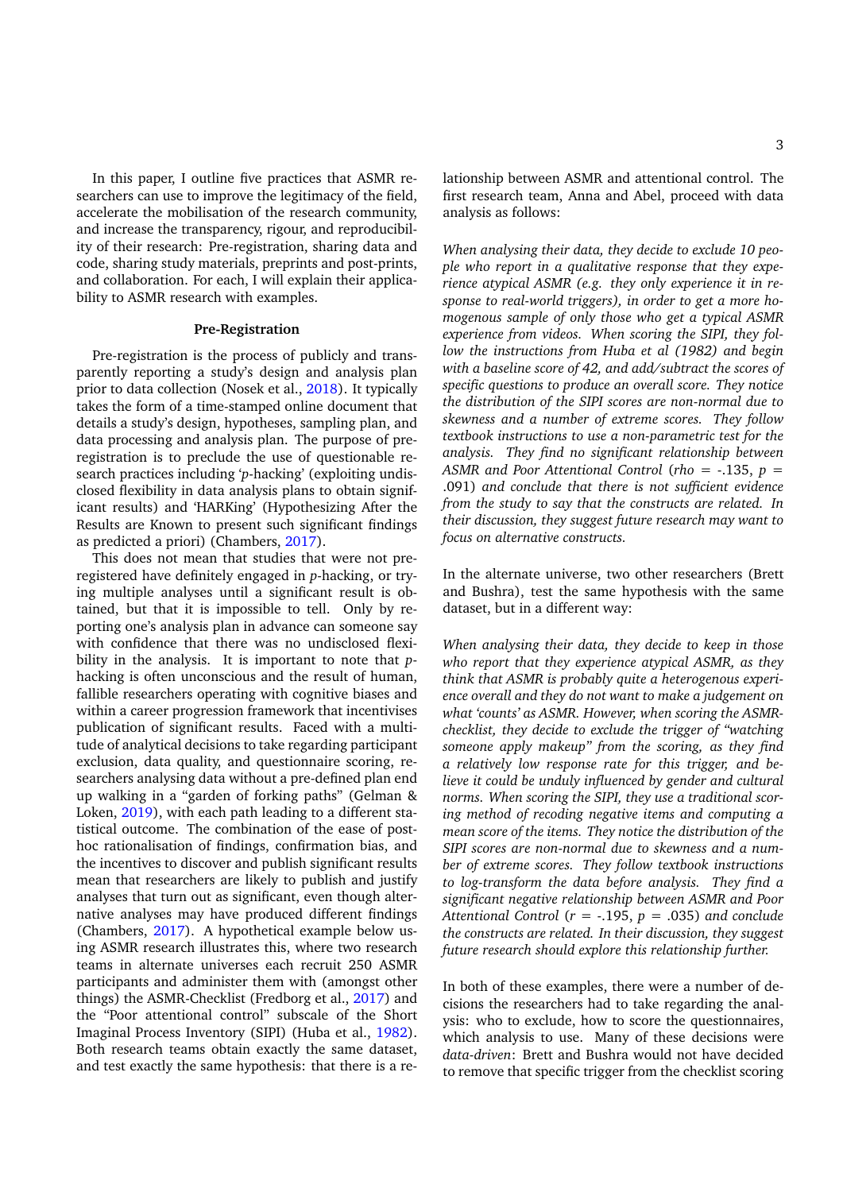In this paper, I outline five practices that ASMR researchers can use to improve the legitimacy of the field, accelerate the mobilisation of the research community, and increase the transparency, rigour, and reproducibility of their research: Pre-registration, sharing data and code, sharing study materials, preprints and post-prints, and collaboration. For each, I will explain their applicability to ASMR research with examples.

#### **Pre-Registration**

Pre-registration is the process of publicly and transparently reporting a study's design and analysis plan prior to data collection (Nosek et al., [2018\)](#page-10-11). It typically takes the form of a time-stamped online document that details a study's design, hypotheses, sampling plan, and data processing and analysis plan. The purpose of preregistration is to preclude the use of questionable research practices including '*p*-hacking' (exploiting undisclosed flexibility in data analysis plans to obtain significant results) and 'HARKing' (Hypothesizing After the Results are Known to present such significant findings as predicted a priori) (Chambers, [2017\)](#page-8-6).

This does not mean that studies that were not preregistered have definitely engaged in *p*-hacking, or trying multiple analyses until a significant result is obtained, but that it is impossible to tell. Only by reporting one's analysis plan in advance can someone say with confidence that there was no undisclosed flexibility in the analysis. It is important to note that *p*hacking is often unconscious and the result of human, fallible researchers operating with cognitive biases and within a career progression framework that incentivises publication of significant results. Faced with a multitude of analytical decisions to take regarding participant exclusion, data quality, and questionnaire scoring, researchers analysing data without a pre-defined plan end up walking in a "garden of forking paths" (Gelman & Loken, [2019\)](#page-9-8), with each path leading to a different statistical outcome. The combination of the ease of posthoc rationalisation of findings, confirmation bias, and the incentives to discover and publish significant results mean that researchers are likely to publish and justify analyses that turn out as significant, even though alternative analyses may have produced different findings (Chambers, [2017\)](#page-8-6). A hypothetical example below using ASMR research illustrates this, where two research teams in alternate universes each recruit 250 ASMR participants and administer them with (amongst other things) the ASMR-Checklist (Fredborg et al., [2017\)](#page-8-4) and the "Poor attentional control" subscale of the Short Imaginal Process Inventory (SIPI) (Huba et al., [1982\)](#page-9-9). Both research teams obtain exactly the same dataset, and test exactly the same hypothesis: that there is a relationship between ASMR and attentional control. The first research team, Anna and Abel, proceed with data analysis as follows:

*When analysing their data, they decide to exclude 10 people who report in a qualitative response that they experience atypical ASMR (e.g. they only experience it in response to real-world triggers), in order to get a more homogenous sample of only those who get a typical ASMR experience from videos. When scoring the SIPI, they follow the instructions from Huba et al (1982) and begin with a baseline score of 42, and add/subtract the scores of specific questions to produce an overall score. They notice the distribution of the SIPI scores are non-normal due to skewness and a number of extreme scores. They follow textbook instructions to use a non-parametric test for the analysis. They find no significant relationship between ASMR and Poor Attentional Control* (*rho* = -.135, *p* = .091) *and conclude that there is not sufficient evidence from the study to say that the constructs are related. In their discussion, they suggest future research may want to focus on alternative constructs.*

In the alternate universe, two other researchers (Brett and Bushra), test the same hypothesis with the same dataset, but in a different way:

*When analysing their data, they decide to keep in those who report that they experience atypical ASMR, as they think that ASMR is probably quite a heterogenous experience overall and they do not want to make a judgement on what 'counts' as ASMR. However, when scoring the ASMRchecklist, they decide to exclude the trigger of "watching someone apply makeup" from the scoring, as they find a relatively low response rate for this trigger, and believe it could be unduly influenced by gender and cultural norms. When scoring the SIPI, they use a traditional scoring method of recoding negative items and computing a mean score of the items. They notice the distribution of the SIPI scores are non-normal due to skewness and a number of extreme scores. They follow textbook instructions to log-transform the data before analysis. They find a significant negative relationship between ASMR and Poor Attentional Control* (*r* = -.195, *p* = .035) *and conclude the constructs are related. In their discussion, they suggest future research should explore this relationship further.*

In both of these examples, there were a number of decisions the researchers had to take regarding the analysis: who to exclude, how to score the questionnaires, which analysis to use. Many of these decisions were *data-driven*: Brett and Bushra would not have decided to remove that specific trigger from the checklist scoring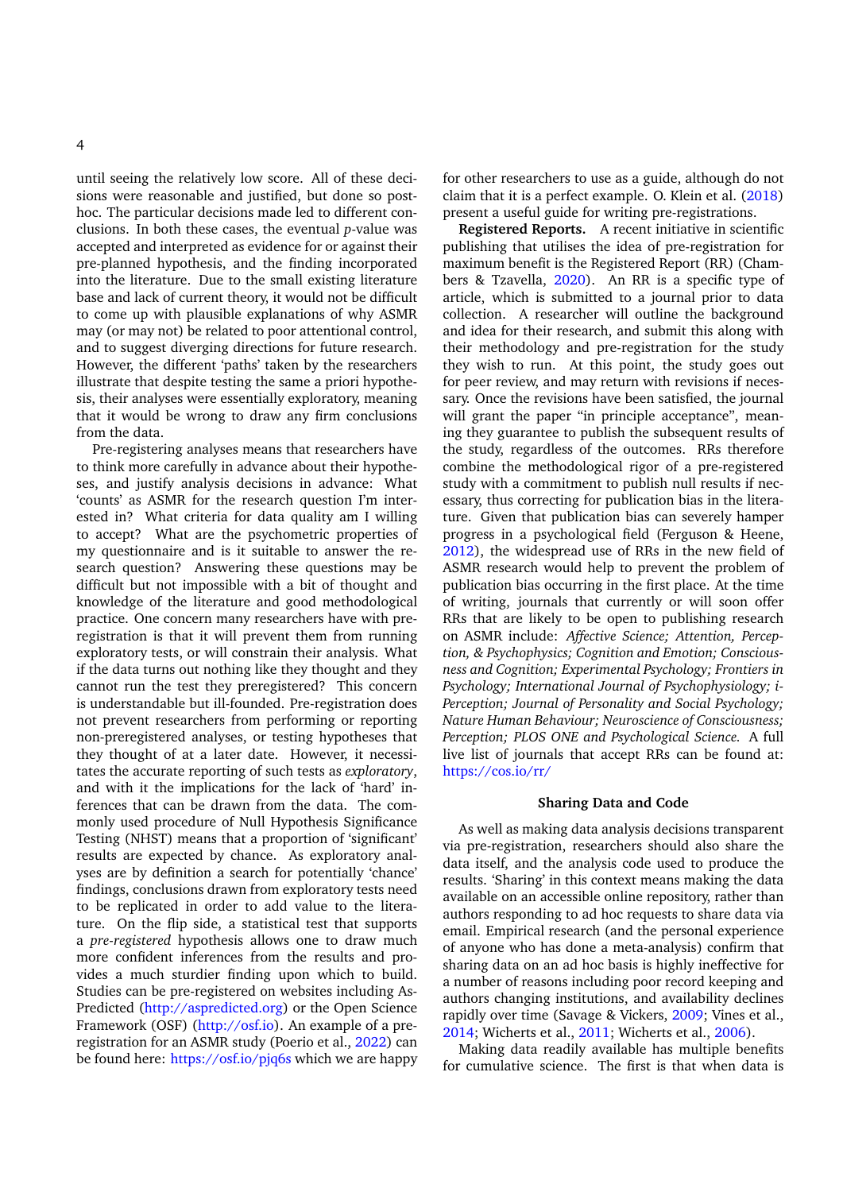until seeing the relatively low score. All of these decisions were reasonable and justified, but done so posthoc. The particular decisions made led to different conclusions. In both these cases, the eventual *p*-value was accepted and interpreted as evidence for or against their pre-planned hypothesis, and the finding incorporated into the literature. Due to the small existing literature base and lack of current theory, it would not be difficult to come up with plausible explanations of why ASMR may (or may not) be related to poor attentional control, and to suggest diverging directions for future research. However, the different 'paths' taken by the researchers illustrate that despite testing the same a priori hypothesis, their analyses were essentially exploratory, meaning that it would be wrong to draw any firm conclusions from the data.

Pre-registering analyses means that researchers have to think more carefully in advance about their hypotheses, and justify analysis decisions in advance: What 'counts' as ASMR for the research question I'm interested in? What criteria for data quality am I willing to accept? What are the psychometric properties of my questionnaire and is it suitable to answer the research question? Answering these questions may be difficult but not impossible with a bit of thought and knowledge of the literature and good methodological practice. One concern many researchers have with preregistration is that it will prevent them from running exploratory tests, or will constrain their analysis. What if the data turns out nothing like they thought and they cannot run the test they preregistered? This concern is understandable but ill-founded. Pre-registration does not prevent researchers from performing or reporting non-preregistered analyses, or testing hypotheses that they thought of at a later date. However, it necessitates the accurate reporting of such tests as *exploratory*, and with it the implications for the lack of 'hard' inferences that can be drawn from the data. The commonly used procedure of Null Hypothesis Significance Testing (NHST) means that a proportion of 'significant' results are expected by chance. As exploratory analyses are by definition a search for potentially 'chance' findings, conclusions drawn from exploratory tests need to be replicated in order to add value to the literature. On the flip side, a statistical test that supports a *pre-registered* hypothesis allows one to draw much more confident inferences from the results and provides a much sturdier finding upon which to build. Studies can be pre-registered on websites including As-Predicted [\(http://aspredicted.org\)](http://aspredicted.org) or the Open Science Framework (OSF) [\(http://osf.io\)](http://osf.io). An example of a preregistration for an ASMR study (Poerio et al., [2022\)](#page-10-12) can be found here: <https://osf.io/pjq6s> which we are happy

for other researchers to use as a guide, although do not claim that it is a perfect example. O. Klein et al. [\(2018\)](#page-9-10) present a useful guide for writing pre-registrations.

**Registered Reports.** A recent initiative in scientific publishing that utilises the idea of pre-registration for maximum benefit is the Registered Report (RR) (Chambers & Tzavella, [2020\)](#page-8-7). An RR is a specific type of article, which is submitted to a journal prior to data collection. A researcher will outline the background and idea for their research, and submit this along with their methodology and pre-registration for the study they wish to run. At this point, the study goes out for peer review, and may return with revisions if necessary. Once the revisions have been satisfied, the journal will grant the paper "in principle acceptance", meaning they guarantee to publish the subsequent results of the study, regardless of the outcomes. RRs therefore combine the methodological rigor of a pre-registered study with a commitment to publish null results if necessary, thus correcting for publication bias in the literature. Given that publication bias can severely hamper progress in a psychological field (Ferguson & Heene, [2012\)](#page-8-8), the widespread use of RRs in the new field of ASMR research would help to prevent the problem of publication bias occurring in the first place. At the time of writing, journals that currently or will soon offer RRs that are likely to be open to publishing research on ASMR include: *Affective Science; Attention, Perception, & Psychophysics; Cognition and Emotion; Consciousness and Cognition; Experimental Psychology; Frontiers in Psychology; International Journal of Psychophysiology; i-Perception; Journal of Personality and Social Psychology; Nature Human Behaviour; Neuroscience of Consciousness; Perception; PLOS ONE and Psychological Science.* A full live list of journals that accept RRs can be found at: <https://cos.io/rr/>

#### **Sharing Data and Code**

As well as making data analysis decisions transparent via pre-registration, researchers should also share the data itself, and the analysis code used to produce the results. 'Sharing' in this context means making the data available on an accessible online repository, rather than authors responding to ad hoc requests to share data via email. Empirical research (and the personal experience of anyone who has done a meta-analysis) confirm that sharing data on an ad hoc basis is highly ineffective for a number of reasons including poor record keeping and authors changing institutions, and availability declines rapidly over time (Savage & Vickers, [2009;](#page-10-13) Vines et al., [2014;](#page-11-1) Wicherts et al., [2011;](#page-11-2) Wicherts et al., [2006\)](#page-11-3).

Making data readily available has multiple benefits for cumulative science. The first is that when data is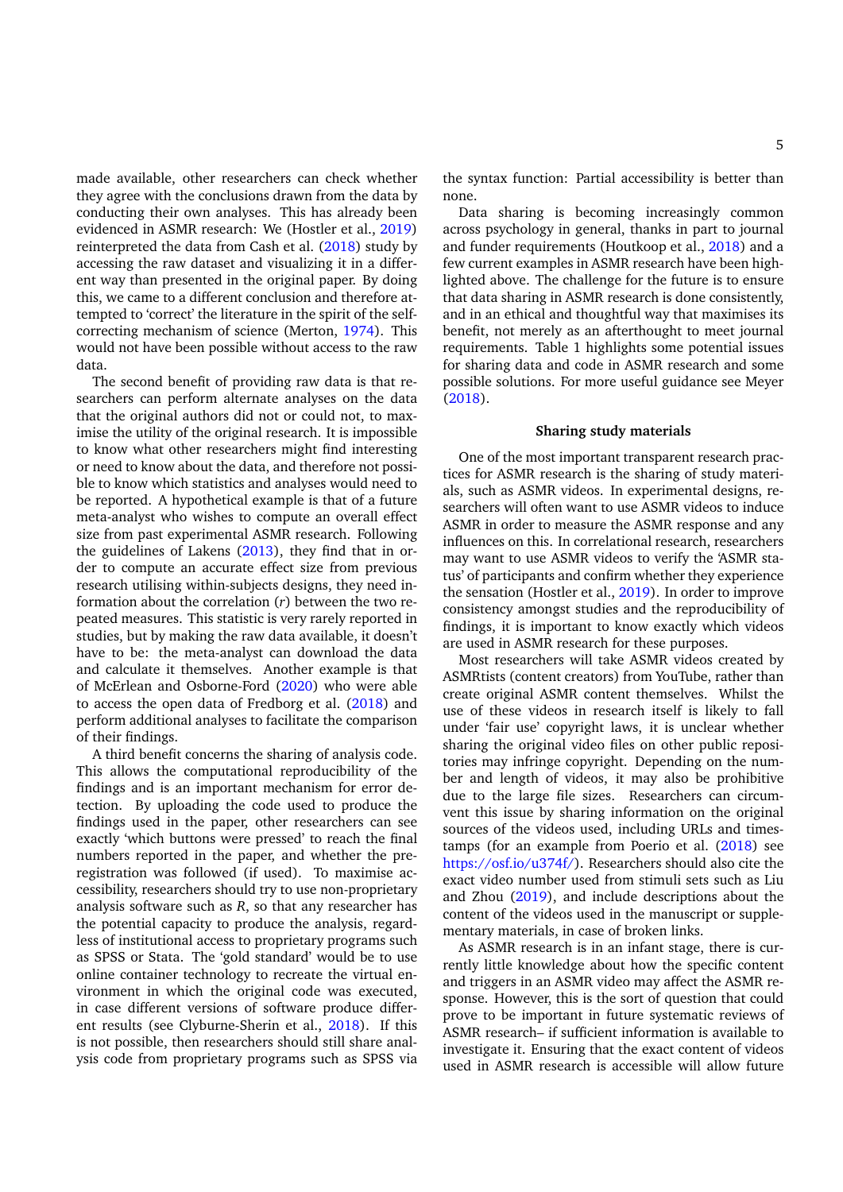made available, other researchers can check whether they agree with the conclusions drawn from the data by conducting their own analyses. This has already been evidenced in ASMR research: We (Hostler et al., [2019\)](#page-9-11) reinterpreted the data from Cash et al. [\(2018\)](#page-8-9) study by accessing the raw dataset and visualizing it in a different way than presented in the original paper. By doing this, we came to a different conclusion and therefore attempted to 'correct' the literature in the spirit of the selfcorrecting mechanism of science (Merton, [1974\)](#page-10-14). This would not have been possible without access to the raw data.

The second benefit of providing raw data is that researchers can perform alternate analyses on the data that the original authors did not or could not, to maximise the utility of the original research. It is impossible to know what other researchers might find interesting or need to know about the data, and therefore not possible to know which statistics and analyses would need to be reported. A hypothetical example is that of a future meta-analyst who wishes to compute an overall effect size from past experimental ASMR research. Following the guidelines of Lakens [\(2013\)](#page-9-12), they find that in order to compute an accurate effect size from previous research utilising within-subjects designs, they need information about the correlation (*r*) between the two repeated measures. This statistic is very rarely reported in studies, but by making the raw data available, it doesn't have to be: the meta-analyst can download the data and calculate it themselves. Another example is that of McErlean and Osborne-Ford [\(2020\)](#page-10-3) who were able to access the open data of Fredborg et al. [\(2018\)](#page-8-5) and perform additional analyses to facilitate the comparison of their findings.

A third benefit concerns the sharing of analysis code. This allows the computational reproducibility of the findings and is an important mechanism for error detection. By uploading the code used to produce the findings used in the paper, other researchers can see exactly 'which buttons were pressed' to reach the final numbers reported in the paper, and whether the preregistration was followed (if used). To maximise accessibility, researchers should try to use non-proprietary analysis software such as *R*, so that any researcher has the potential capacity to produce the analysis, regardless of institutional access to proprietary programs such as SPSS or Stata. The 'gold standard' would be to use online container technology to recreate the virtual environment in which the original code was executed, in case different versions of software produce different results (see Clyburne-Sherin et al., [2018\)](#page-8-10). If this is not possible, then researchers should still share analysis code from proprietary programs such as SPSS via

the syntax function: Partial accessibility is better than none.

Data sharing is becoming increasingly common across psychology in general, thanks in part to journal and funder requirements (Houtkoop et al., [2018\)](#page-9-13) and a few current examples in ASMR research have been highlighted above. The challenge for the future is to ensure that data sharing in ASMR research is done consistently, and in an ethical and thoughtful way that maximises its benefit, not merely as an afterthought to meet journal requirements. Table 1 highlights some potential issues for sharing data and code in ASMR research and some possible solutions. For more useful guidance see Meyer [\(2018\)](#page-10-15).

#### **Sharing study materials**

One of the most important transparent research practices for ASMR research is the sharing of study materials, such as ASMR videos. In experimental designs, researchers will often want to use ASMR videos to induce ASMR in order to measure the ASMR response and any influences on this. In correlational research, researchers may want to use ASMR videos to verify the 'ASMR status' of participants and confirm whether they experience the sensation (Hostler et al., [2019\)](#page-9-11). In order to improve consistency amongst studies and the reproducibility of findings, it is important to know exactly which videos are used in ASMR research for these purposes.

Most researchers will take ASMR videos created by ASMRtists (content creators) from YouTube, rather than create original ASMR content themselves. Whilst the use of these videos in research itself is likely to fall under 'fair use' copyright laws, it is unclear whether sharing the original video files on other public repositories may infringe copyright. Depending on the number and length of videos, it may also be prohibitive due to the large file sizes. Researchers can circumvent this issue by sharing information on the original sources of the videos used, including URLs and timestamps (for an example from Poerio et al. [\(2018\)](#page-10-0) see [https://osf.io/u374f/\)](https://osf.io/u374f/). Researchers should also cite the exact video number used from stimuli sets such as Liu and Zhou [\(2019\)](#page-10-8), and include descriptions about the content of the videos used in the manuscript or supplementary materials, in case of broken links.

As ASMR research is in an infant stage, there is currently little knowledge about how the specific content and triggers in an ASMR video may affect the ASMR response. However, this is the sort of question that could prove to be important in future systematic reviews of ASMR research– if sufficient information is available to investigate it. Ensuring that the exact content of videos used in ASMR research is accessible will allow future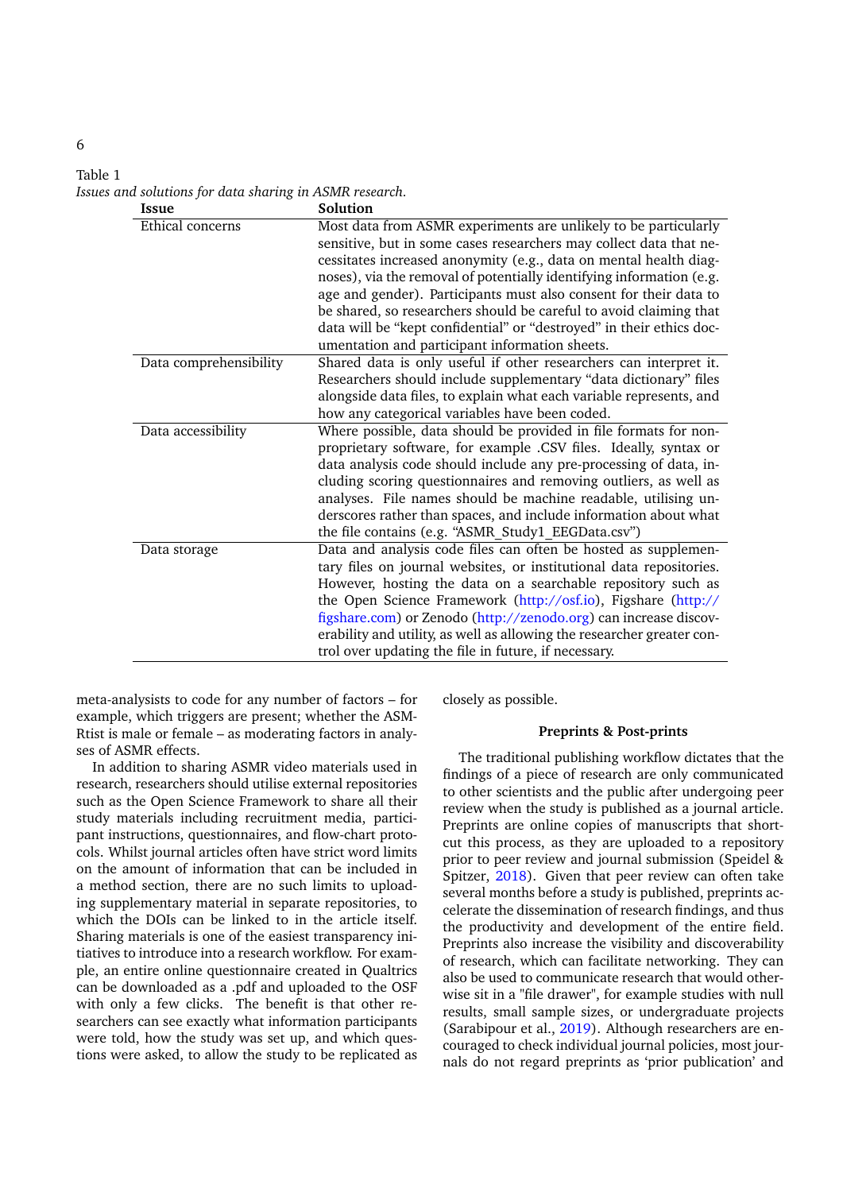| Table 1 |                                                         |  |  |
|---------|---------------------------------------------------------|--|--|
|         | Issues and solutions for data sharing in ASMR research. |  |  |

| <b>Issue</b>           | Solution                                                               |
|------------------------|------------------------------------------------------------------------|
| Ethical concerns       | Most data from ASMR experiments are unlikely to be particularly        |
|                        | sensitive, but in some cases researchers may collect data that ne-     |
|                        | cessitates increased anonymity (e.g., data on mental health diag-      |
|                        | noses), via the removal of potentially identifying information (e.g.   |
|                        | age and gender). Participants must also consent for their data to      |
|                        | be shared, so researchers should be careful to avoid claiming that     |
|                        | data will be "kept confidential" or "destroyed" in their ethics doc-   |
|                        | umentation and participant information sheets.                         |
| Data comprehensibility | Shared data is only useful if other researchers can interpret it.      |
|                        | Researchers should include supplementary "data dictionary" files       |
|                        | alongside data files, to explain what each variable represents, and    |
|                        | how any categorical variables have been coded.                         |
| Data accessibility     | Where possible, data should be provided in file formats for non-       |
|                        | proprietary software, for example .CSV files. Ideally, syntax or       |
|                        | data analysis code should include any pre-processing of data, in-      |
|                        | cluding scoring questionnaires and removing outliers, as well as       |
|                        | analyses. File names should be machine readable, utilising un-         |
|                        | derscores rather than spaces, and include information about what       |
|                        | the file contains (e.g. "ASMR_Study1_EEGData.csv")                     |
| Data storage           | Data and analysis code files can often be hosted as supplemen-         |
|                        | tary files on journal websites, or institutional data repositories.    |
|                        | However, hosting the data on a searchable repository such as           |
|                        | the Open Science Framework (http://osf.io), Figshare (http://          |
|                        | figshare.com) or Zenodo (http://zenodo.org) can increase discov-       |
|                        | erability and utility, as well as allowing the researcher greater con- |
|                        | trol over updating the file in future, if necessary.                   |

meta-analysists to code for any number of factors – for example, which triggers are present; whether the ASM-Rtist is male or female – as moderating factors in analyses of ASMR effects.

In addition to sharing ASMR video materials used in research, researchers should utilise external repositories such as the Open Science Framework to share all their study materials including recruitment media, participant instructions, questionnaires, and flow-chart protocols. Whilst journal articles often have strict word limits on the amount of information that can be included in a method section, there are no such limits to uploading supplementary material in separate repositories, to which the DOIs can be linked to in the article itself. Sharing materials is one of the easiest transparency initiatives to introduce into a research workflow. For example, an entire online questionnaire created in Qualtrics can be downloaded as a .pdf and uploaded to the OSF with only a few clicks. The benefit is that other researchers can see exactly what information participants were told, how the study was set up, and which questions were asked, to allow the study to be replicated as closely as possible.

#### **Preprints & Post-prints**

The traditional publishing workflow dictates that the findings of a piece of research are only communicated to other scientists and the public after undergoing peer review when the study is published as a journal article. Preprints are online copies of manuscripts that shortcut this process, as they are uploaded to a repository prior to peer review and journal submission (Speidel & Spitzer, [2018\)](#page-11-4). Given that peer review can often take several months before a study is published, preprints accelerate the dissemination of research findings, and thus the productivity and development of the entire field. Preprints also increase the visibility and discoverability of research, which can facilitate networking. They can also be used to communicate research that would otherwise sit in a "file drawer", for example studies with null results, small sample sizes, or undergraduate projects (Sarabipour et al., [2019\)](#page-10-16). Although researchers are encouraged to check individual journal policies, most journals do not regard preprints as 'prior publication' and

## 6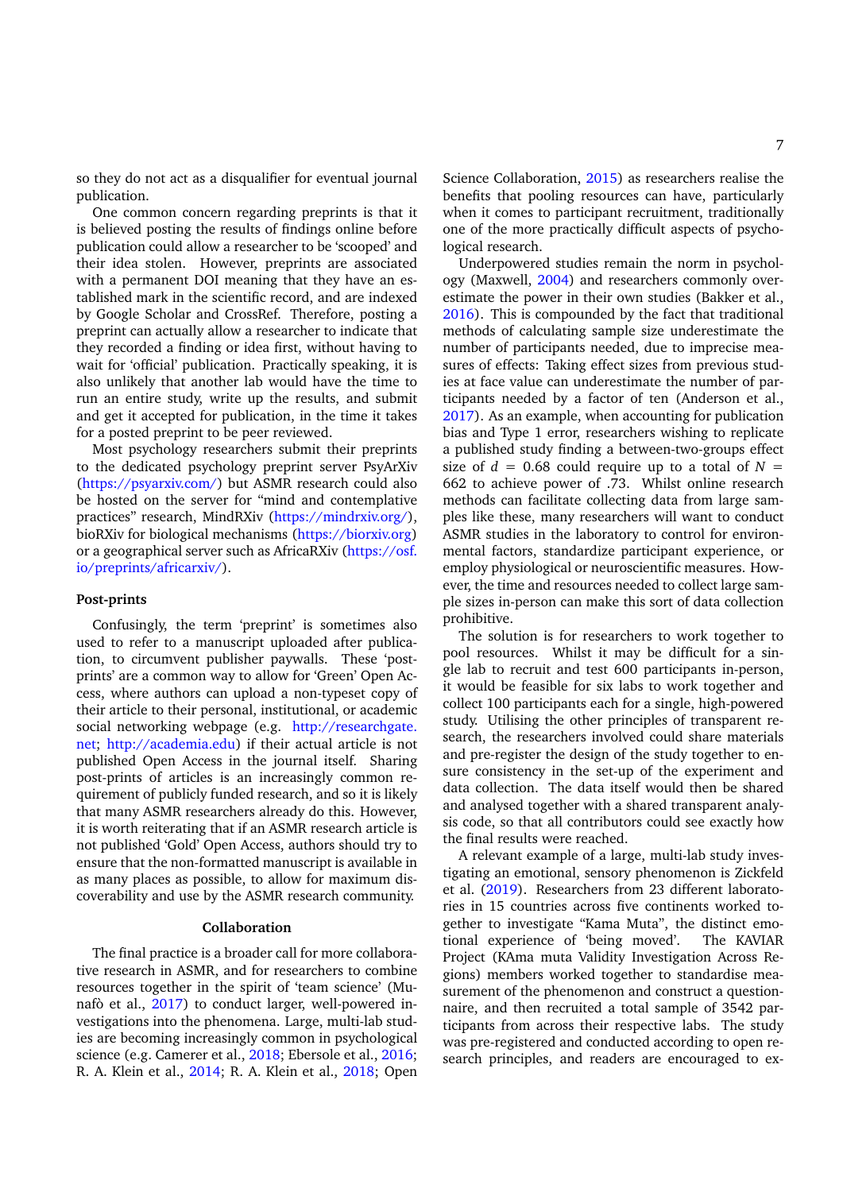so they do not act as a disqualifier for eventual journal publication.

One common concern regarding preprints is that it is believed posting the results of findings online before publication could allow a researcher to be 'scooped' and their idea stolen. However, preprints are associated with a permanent DOI meaning that they have an established mark in the scientific record, and are indexed by Google Scholar and CrossRef. Therefore, posting a preprint can actually allow a researcher to indicate that they recorded a finding or idea first, without having to wait for 'official' publication. Practically speaking, it is also unlikely that another lab would have the time to run an entire study, write up the results, and submit and get it accepted for publication, in the time it takes for a posted preprint to be peer reviewed.

Most psychology researchers submit their preprints to the dedicated psychology preprint server PsyArXiv [\(https://psyarxiv.com/\)](https://psyarxiv.com/) but ASMR research could also be hosted on the server for "mind and contemplative practices" research, MindRXiv [\(https://mindrxiv.org/\)](https://mindrxiv.org/), bioRXiv for biological mechanisms [\(https://biorxiv.org\)](https://biorxiv.org) or a geographical server such as AfricaRXiv [\(https://osf.](https://osf.io/preprints/africarxiv/) [io/preprints/africarxiv/\)](https://osf.io/preprints/africarxiv/).

#### **Post-prints**

Confusingly, the term 'preprint' is sometimes also used to refer to a manuscript uploaded after publication, to circumvent publisher paywalls. These 'postprints' are a common way to allow for 'Green' Open Access, where authors can upload a non-typeset copy of their article to their personal, institutional, or academic social networking webpage (e.g. [http://researchgate.](http://researchgate.net) [net;](http://researchgate.net) [http://academia.edu\)](http://academia.edu) if their actual article is not published Open Access in the journal itself. Sharing post-prints of articles is an increasingly common requirement of publicly funded research, and so it is likely that many ASMR researchers already do this. However, it is worth reiterating that if an ASMR research article is not published 'Gold' Open Access, authors should try to ensure that the non-formatted manuscript is available in as many places as possible, to allow for maximum discoverability and use by the ASMR research community.

#### **Collaboration**

The final practice is a broader call for more collaborative research in ASMR, and for researchers to combine resources together in the spirit of 'team science' (Munafò et al., [2017\)](#page-10-9) to conduct larger, well-powered investigations into the phenomena. Large, multi-lab studies are becoming increasingly common in psychological science (e.g. Camerer et al., [2018;](#page-8-11) Ebersole et al., [2016;](#page-8-12) R. A. Klein et al., [2014;](#page-9-14) R. A. Klein et al., [2018;](#page-9-15) Open

Science Collaboration, [2015\)](#page-10-17) as researchers realise the benefits that pooling resources can have, particularly when it comes to participant recruitment, traditionally one of the more practically difficult aspects of psychological research.

Underpowered studies remain the norm in psychology (Maxwell, [2004\)](#page-10-18) and researchers commonly overestimate the power in their own studies (Bakker et al., [2016\)](#page-8-13). This is compounded by the fact that traditional methods of calculating sample size underestimate the number of participants needed, due to imprecise measures of effects: Taking effect sizes from previous studies at face value can underestimate the number of participants needed by a factor of ten (Anderson et al., [2017\)](#page-8-14). As an example, when accounting for publication bias and Type 1 error, researchers wishing to replicate a published study finding a between-two-groups effect size of  $d = 0.68$  could require up to a total of  $N =$ 662 to achieve power of .73. Whilst online research methods can facilitate collecting data from large samples like these, many researchers will want to conduct ASMR studies in the laboratory to control for environmental factors, standardize participant experience, or employ physiological or neuroscientific measures. However, the time and resources needed to collect large sample sizes in-person can make this sort of data collection prohibitive.

The solution is for researchers to work together to pool resources. Whilst it may be difficult for a single lab to recruit and test 600 participants in-person, it would be feasible for six labs to work together and collect 100 participants each for a single, high-powered study. Utilising the other principles of transparent research, the researchers involved could share materials and pre-register the design of the study together to ensure consistency in the set-up of the experiment and data collection. The data itself would then be shared and analysed together with a shared transparent analysis code, so that all contributors could see exactly how the final results were reached.

A relevant example of a large, multi-lab study investigating an emotional, sensory phenomenon is Zickfeld et al. [\(2019\)](#page-11-5). Researchers from 23 different laboratories in 15 countries across five continents worked together to investigate "Kama Muta", the distinct emotional experience of 'being moved'. The KAVIAR Project (KAma muta Validity Investigation Across Regions) members worked together to standardise measurement of the phenomenon and construct a questionnaire, and then recruited a total sample of 3542 participants from across their respective labs. The study was pre-registered and conducted according to open research principles, and readers are encouraged to ex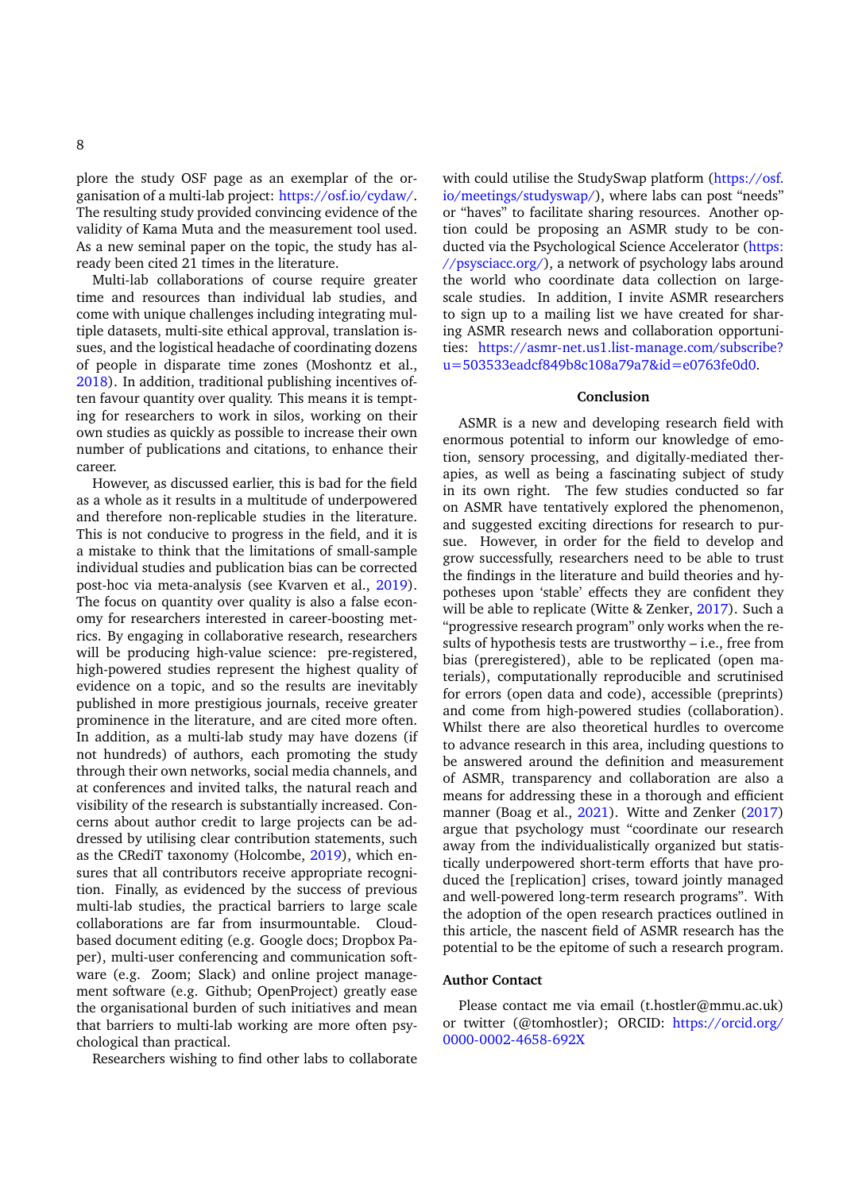plore the study OSF page as an exemplar of the organisation of a multi-lab project: [https://osf.io/cydaw/.](https://osf.io/cydaw/) The resulting study provided convincing evidence of the validity of Kama Muta and the measurement tool used. As a new seminal paper on the topic, the study has already been cited 21 times in the literature.

Multi-lab collaborations of course require greater time and resources than individual lab studies, and come with unique challenges including integrating multiple datasets, multi-site ethical approval, translation issues, and the logistical headache of coordinating dozens of people in disparate time zones (Moshontz et al., [2018\)](#page-10-19). In addition, traditional publishing incentives often favour quantity over quality. This means it is tempting for researchers to work in silos, working on their own studies as quickly as possible to increase their own number of publications and citations, to enhance their career.

However, as discussed earlier, this is bad for the field as a whole as it results in a multitude of underpowered and therefore non-replicable studies in the literature. This is not conducive to progress in the field, and it is a mistake to think that the limitations of small-sample individual studies and publication bias can be corrected post-hoc via meta-analysis (see Kvarven et al., [2019\)](#page-9-16). The focus on quantity over quality is also a false economy for researchers interested in career-boosting metrics. By engaging in collaborative research, researchers will be producing high-value science: pre-registered, high-powered studies represent the highest quality of evidence on a topic, and so the results are inevitably published in more prestigious journals, receive greater prominence in the literature, and are cited more often. In addition, as a multi-lab study may have dozens (if not hundreds) of authors, each promoting the study through their own networks, social media channels, and at conferences and invited talks, the natural reach and visibility of the research is substantially increased. Concerns about author credit to large projects can be addressed by utilising clear contribution statements, such as the CRediT taxonomy (Holcombe, [2019\)](#page-9-17), which ensures that all contributors receive appropriate recognition. Finally, as evidenced by the success of previous multi-lab studies, the practical barriers to large scale collaborations are far from insurmountable. Cloudbased document editing (e.g. Google docs; Dropbox Paper), multi-user conferencing and communication software (e.g. Zoom; Slack) and online project management software (e.g. Github; OpenProject) greatly ease the organisational burden of such initiatives and mean that barriers to multi-lab working are more often psychological than practical.

Researchers wishing to find other labs to collaborate

with could utilise the StudySwap platform [\(https://osf.](https://osf.io/meetings/studyswap/) [io/meetings/studyswap/\)](https://osf.io/meetings/studyswap/), where labs can post "needs" or "haves" to facilitate sharing resources. Another option could be proposing an ASMR study to be conducted via the Psychological Science Accelerator [\(https:](https://psysciacc.org/) [//psysciacc.org/\)](https://psysciacc.org/), a network of psychology labs around the world who coordinate data collection on largescale studies. In addition, I invite ASMR researchers to sign up to a mailing list we have created for sharing ASMR research news and collaboration opportunities: [https://asmr-net.us1.list-manage.com/subscribe?](https://asmr-net.us1.list-manage.com/subscribe?u=503533eadcf849b8c108a79a7&id=e0763fe0d0) [u=503533eadcf849b8c108a79a7&id=e0763fe0d0.](https://asmr-net.us1.list-manage.com/subscribe?u=503533eadcf849b8c108a79a7&id=e0763fe0d0)

#### **Conclusion**

ASMR is a new and developing research field with enormous potential to inform our knowledge of emotion, sensory processing, and digitally-mediated therapies, as well as being a fascinating subject of study in its own right. The few studies conducted so far on ASMR have tentatively explored the phenomenon, and suggested exciting directions for research to pursue. However, in order for the field to develop and grow successfully, researchers need to be able to trust the findings in the literature and build theories and hypotheses upon 'stable' effects they are confident they will be able to replicate (Witte & Zenker, [2017\)](#page-11-6). Such a "progressive research program" only works when the results of hypothesis tests are trustworthy – i.e., free from bias (preregistered), able to be replicated (open materials), computationally reproducible and scrutinised for errors (open data and code), accessible (preprints) and come from high-powered studies (collaboration). Whilst there are also theoretical hurdles to overcome to advance research in this area, including questions to be answered around the definition and measurement of ASMR, transparency and collaboration are also a means for addressing these in a thorough and efficient manner (Boag et al., [2021\)](#page-8-15). Witte and Zenker [\(2017\)](#page-11-6) argue that psychology must "coordinate our research away from the individualistically organized but statistically underpowered short-term efforts that have produced the [replication] crises, toward jointly managed and well-powered long-term research programs". With the adoption of the open research practices outlined in this article, the nascent field of ASMR research has the potential to be the epitome of such a research program.

#### **Author Contact**

Please contact me via email (t.hostler@mmu.ac.uk) or twitter (@tomhostler); ORCID: [https://orcid.org/](https://orcid.org/0000-0002-4658-692X) [0000-0002-4658-692X](https://orcid.org/0000-0002-4658-692X)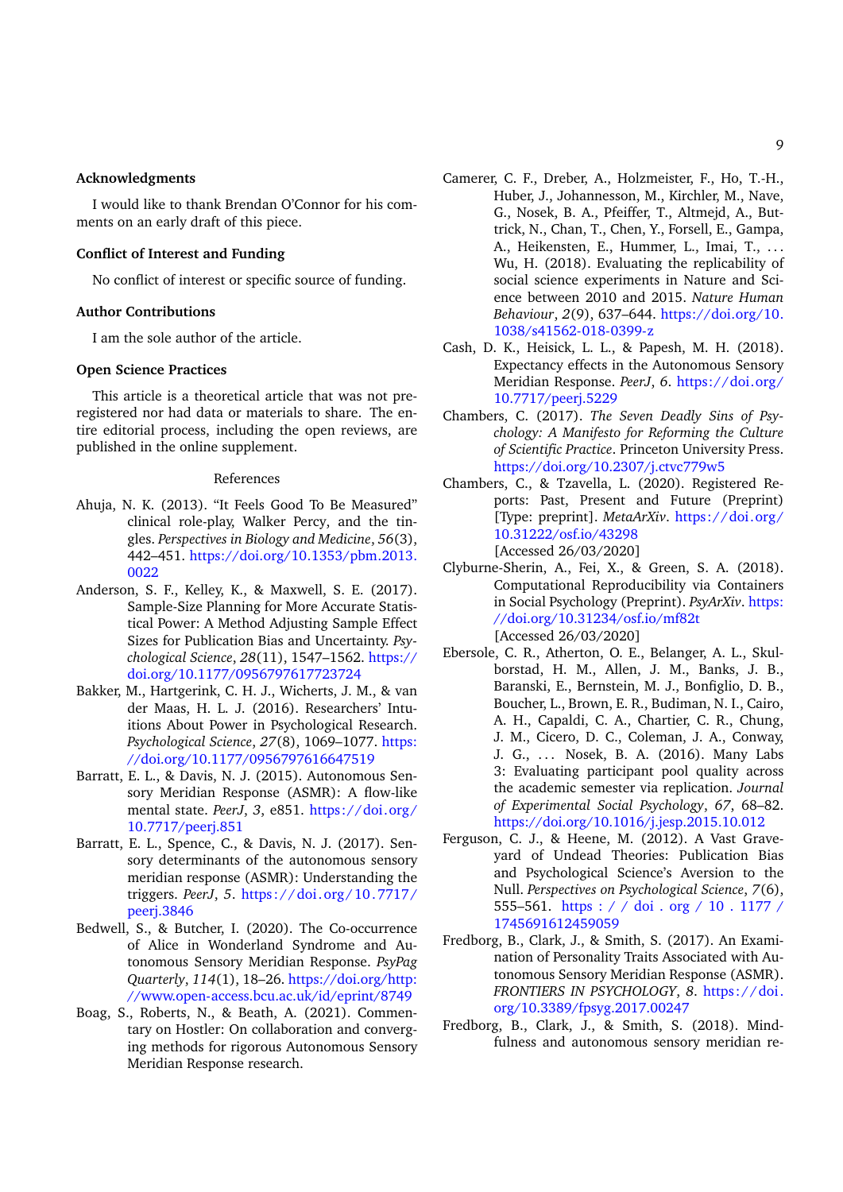# **Acknowledgments**

I would like to thank Brendan O'Connor for his comments on an early draft of this piece.

# **Conflict of Interest and Funding**

No conflict of interest or specific source of funding.

#### **Author Contributions**

I am the sole author of the article.

# **Open Science Practices**

This article is a theoretical article that was not preregistered nor had data or materials to share. The entire editorial process, including the open reviews, are published in the online supplement.

#### References

- <span id="page-8-1"></span>Ahuja, N. K. (2013). "It Feels Good To Be Measured" clinical role-play, Walker Percy, and the tingles. *Perspectives in Biology and Medicine*, *56*(3), 442–451. [https://doi.org/10.1353/pbm.2013.](https://doi.org/10.1353/pbm.2013.0022) [0022](https://doi.org/10.1353/pbm.2013.0022)
- <span id="page-8-14"></span>Anderson, S. F., Kelley, K., & Maxwell, S. E. (2017). Sample-Size Planning for More Accurate Statistical Power: A Method Adjusting Sample Effect Sizes for Publication Bias and Uncertainty. *Psychological Science*, *28*(11), 1547–1562. [https://](https://doi.org/10.1177/0956797617723724) [doi.org/10.1177/0956797617723724](https://doi.org/10.1177/0956797617723724)
- <span id="page-8-13"></span>Bakker, M., Hartgerink, C. H. J., Wicherts, J. M., & van der Maas, H. L. J. (2016). Researchers' Intuitions About Power in Psychological Research. *Psychological Science*, *27*(8), 1069–1077. [https:](https://doi.org/10.1177/0956797616647519) [//doi.org/10.1177/0956797616647519](https://doi.org/10.1177/0956797616647519)
- <span id="page-8-0"></span>Barratt, E. L., & Davis, N. J. (2015). Autonomous Sensory Meridian Response (ASMR): A flow-like mental state. *PeerJ*, *3*, e851. [https://doi.org/](https://doi.org/10.7717/peerj.851) [10.7717/peerj.851](https://doi.org/10.7717/peerj.851)
- <span id="page-8-2"></span>Barratt, E. L., Spence, C., & Davis, N. J. (2017). Sensory determinants of the autonomous sensory meridian response (ASMR): Understanding the triggers. *PeerJ*, *5*. [https://doi.org/10.7717/](https://doi.org/10.7717/peerj.3846) [peerj.3846](https://doi.org/10.7717/peerj.3846)
- <span id="page-8-3"></span>Bedwell, S., & Butcher, I. (2020). The Co-occurrence of Alice in Wonderland Syndrome and Autonomous Sensory Meridian Response. *PsyPag Quarterly*, *114*(1), 18–26. [https://doi.org/http:](https://doi.org/http://www.open-access.bcu.ac.uk/id/eprint/8749) [//www.open-access.bcu.ac.uk/id/eprint/8749](https://doi.org/http://www.open-access.bcu.ac.uk/id/eprint/8749)
- <span id="page-8-15"></span>Boag, S., Roberts, N., & Beath, A. (2021). Commentary on Hostler: On collaboration and converging methods for rigorous Autonomous Sensory Meridian Response research.
- <span id="page-8-11"></span>Camerer, C. F., Dreber, A., Holzmeister, F., Ho, T.-H., Huber, J., Johannesson, M., Kirchler, M., Nave, G., Nosek, B. A., Pfeiffer, T., Altmejd, A., Buttrick, N., Chan, T., Chen, Y., Forsell, E., Gampa, A., Heikensten, E., Hummer, L., Imai, T., ... Wu, H. (2018). Evaluating the replicability of social science experiments in Nature and Science between 2010 and 2015. *Nature Human Behaviour*, *2*(9), 637–644. [https://doi.org/10.](https://doi.org/10.1038/s41562-018-0399-z) [1038/s41562-018-0399-z](https://doi.org/10.1038/s41562-018-0399-z)
- <span id="page-8-9"></span>Cash, D. K., Heisick, L. L., & Papesh, M. H. (2018). Expectancy effects in the Autonomous Sensory Meridian Response. *PeerJ*, *6*. [https://doi.org/](https://doi.org/10.7717/peerj.5229) [10.7717/peerj.5229](https://doi.org/10.7717/peerj.5229)
- <span id="page-8-6"></span>Chambers, C. (2017). *The Seven Deadly Sins of Psychology: A Manifesto for Reforming the Culture of Scientific Practice*. Princeton University Press. <https://doi.org/10.2307/j.ctvc779w5>
- <span id="page-8-7"></span>Chambers, C., & Tzavella, L. (2020). Registered Reports: Past, Present and Future (Preprint) [Type: preprint]. *MetaArXiv*. [https://doi.org/](https://doi.org/10.31222/osf.io/43298) [10.31222/osf.io/43298](https://doi.org/10.31222/osf.io/43298) [Accessed 26/03/2020]
- <span id="page-8-10"></span>Clyburne-Sherin, A., Fei, X., & Green, S. A. (2018). Computational Reproducibility via Containers in Social Psychology (Preprint). *PsyArXiv*. [https:](https://doi.org/10.31234/osf.io/mf82t) [//doi.org/10.31234/osf.io/mf82t](https://doi.org/10.31234/osf.io/mf82t) [Accessed 26/03/2020]
- <span id="page-8-12"></span>Ebersole, C. R., Atherton, O. E., Belanger, A. L., Skulborstad, H. M., Allen, J. M., Banks, J. B., Baranski, E., Bernstein, M. J., Bonfiglio, D. B., Boucher, L., Brown, E. R., Budiman, N. I., Cairo, A. H., Capaldi, C. A., Chartier, C. R., Chung, J. M., Cicero, D. C., Coleman, J. A., Conway, J. G., ... Nosek, B. A. (2016). Many Labs 3: Evaluating participant pool quality across the academic semester via replication. *Journal of Experimental Social Psychology*, *67*, 68–82. <https://doi.org/10.1016/j.jesp.2015.10.012>
- <span id="page-8-8"></span>Ferguson, C. J., & Heene, M. (2012). A Vast Graveyard of Undead Theories: Publication Bias and Psychological Science's Aversion to the Null. *Perspectives on Psychological Science*, *7*(6), 555–561. [https : / / doi . org / 10 . 1177 /](https://doi.org/10.1177/1745691612459059) [1745691612459059](https://doi.org/10.1177/1745691612459059)
- <span id="page-8-4"></span>Fredborg, B., Clark, J., & Smith, S. (2017). An Examination of Personality Traits Associated with Autonomous Sensory Meridian Response (ASMR). *FRONTIERS IN PSYCHOLOGY*, *8*. [https://doi.](https://doi.org/10.3389/fpsyg.2017.00247) [org/10.3389/fpsyg.2017.00247](https://doi.org/10.3389/fpsyg.2017.00247)
- <span id="page-8-5"></span>Fredborg, B., Clark, J., & Smith, S. (2018). Mindfulness and autonomous sensory meridian re-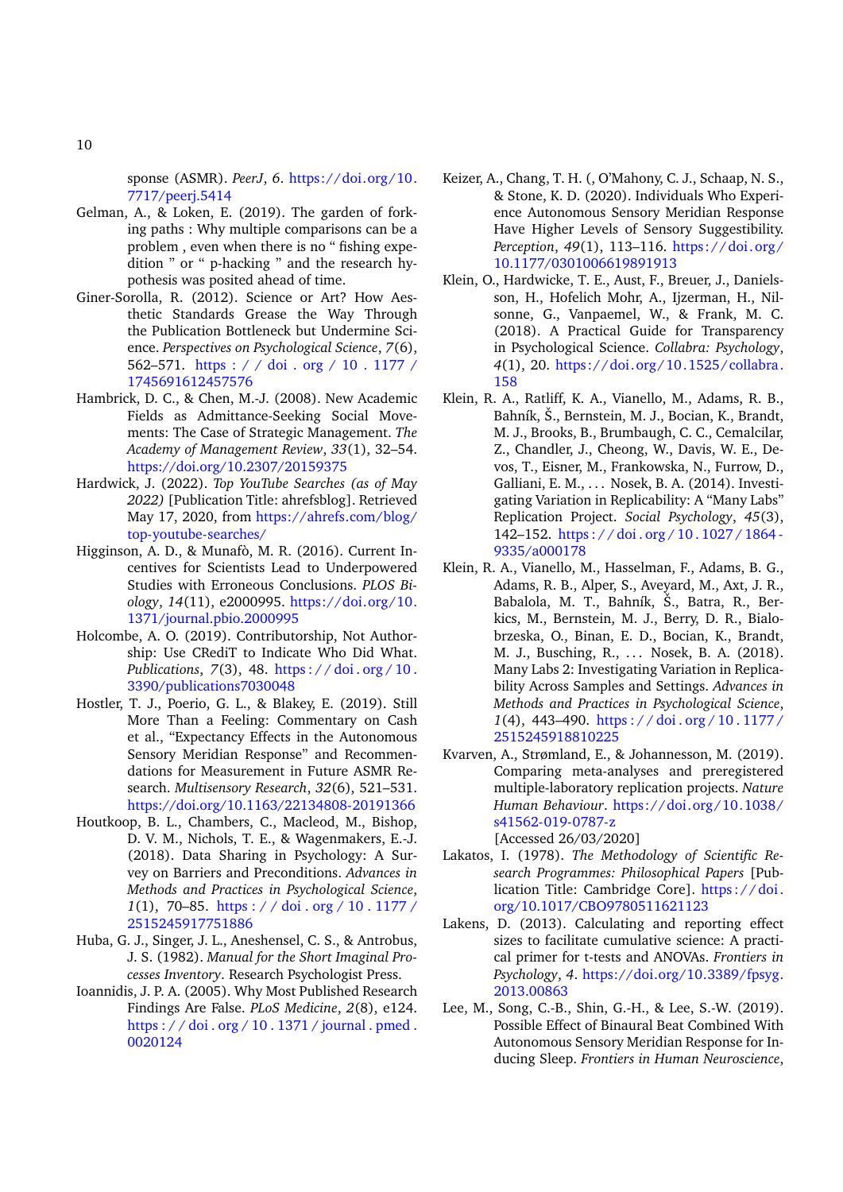sponse (ASMR). *PeerJ*, *6*. [https://doi.org/10.](https://doi.org/10.7717/peerj.5414) [7717/peerj.5414](https://doi.org/10.7717/peerj.5414)

- <span id="page-9-8"></span>Gelman, A., & Loken, E. (2019). The garden of forking paths : Why multiple comparisons can be a problem , even when there is no " fishing expedition " or " p-hacking " and the research hypothesis was posited ahead of time.
- <span id="page-9-3"></span>Giner-Sorolla, R. (2012). Science or Art? How Aesthetic Standards Grease the Way Through the Publication Bottleneck but Undermine Science. *Perspectives on Psychological Science*, *7*(6), 562–571. [https : / / doi . org / 10 . 1177 /](https://doi.org/10.1177/1745691612457576) [1745691612457576](https://doi.org/10.1177/1745691612457576)
- <span id="page-9-7"></span>Hambrick, D. C., & Chen, M.-J. (2008). New Academic Fields as Admittance-Seeking Social Movements: The Case of Strategic Management. *The Academy of Management Review*, *33*(1), 32–54. <https://doi.org/10.2307/20159375>
- <span id="page-9-0"></span>Hardwick, J. (2022). *Top YouTube Searches (as of May 2022)* [Publication Title: ahrefsblog]. Retrieved May 17, 2020, from [https://ahrefs.com/blog/](https://ahrefs.com/blog/top-youtube-searches/) [top-youtube-searches/](https://ahrefs.com/blog/top-youtube-searches/)
- <span id="page-9-4"></span>Higginson, A. D., & Munafò, M. R. (2016). Current Incentives for Scientists Lead to Underpowered Studies with Erroneous Conclusions. *PLOS Biology*, *14*(11), e2000995. [https://doi.org/10.](https://doi.org/10.1371/journal.pbio.2000995) [1371/journal.pbio.2000995](https://doi.org/10.1371/journal.pbio.2000995)
- <span id="page-9-17"></span>Holcombe, A. O. (2019). Contributorship, Not Authorship: Use CRediT to Indicate Who Did What. *Publications*, *7*(3), 48. [https : / / doi . org / 10 .](https://doi.org/10.3390/publications7030048) [3390/publications7030048](https://doi.org/10.3390/publications7030048)
- <span id="page-9-11"></span>Hostler, T. J., Poerio, G. L., & Blakey, E. (2019). Still More Than a Feeling: Commentary on Cash et al., "Expectancy Effects in the Autonomous Sensory Meridian Response" and Recommendations for Measurement in Future ASMR Research. *Multisensory Research*, *32*(6), 521–531. <https://doi.org/10.1163/22134808-20191366>
- <span id="page-9-13"></span>Houtkoop, B. L., Chambers, C., Macleod, M., Bishop, D. V. M., Nichols, T. E., & Wagenmakers, E.-J. (2018). Data Sharing in Psychology: A Survey on Barriers and Preconditions. *Advances in Methods and Practices in Psychological Science*, *1*(1), 70–85. [https : / / doi . org / 10 . 1177 /](https://doi.org/10.1177/2515245917751886) [2515245917751886](https://doi.org/10.1177/2515245917751886)
- <span id="page-9-9"></span>Huba, G. J., Singer, J. L., Aneshensel, C. S., & Antrobus, J. S. (1982). *Manual for the Short Imaginal Processes Inventory*. Research Psychologist Press.
- <span id="page-9-5"></span>Ioannidis, J. P. A. (2005). Why Most Published Research Findings Are False. *PLoS Medicine*, *2*(8), e124. [https : / / doi . org / 10 . 1371 / journal . pmed .](https://doi.org/10.1371/journal.pmed.0020124) [0020124](https://doi.org/10.1371/journal.pmed.0020124)
- <span id="page-9-1"></span>Keizer, A., Chang, T. H. (, O'Mahony, C. J., Schaap, N. S., & Stone, K. D. (2020). Individuals Who Experience Autonomous Sensory Meridian Response Have Higher Levels of Sensory Suggestibility. *Perception*, *49*(1), 113–116. [https://doi.org/](https://doi.org/10.1177/0301006619891913) [10.1177/0301006619891913](https://doi.org/10.1177/0301006619891913)
- <span id="page-9-10"></span>Klein, O., Hardwicke, T. E., Aust, F., Breuer, J., Danielsson, H., Hofelich Mohr, A., Ijzerman, H., Nilsonne, G., Vanpaemel, W., & Frank, M. C. (2018). A Practical Guide for Transparency in Psychological Science. *Collabra: Psychology*, *4*(1), 20. [https://doi.org/10.1525/collabra.](https://doi.org/10.1525/collabra.158) [158](https://doi.org/10.1525/collabra.158)
- <span id="page-9-14"></span>Klein, R. A., Ratliff, K. A., Vianello, M., Adams, R. B., Bahník, Š., Bernstein, M. J., Bocian, K., Brandt, M. J., Brooks, B., Brumbaugh, C. C., Cemalcilar, Z., Chandler, J., Cheong, W., Davis, W. E., Devos, T., Eisner, M., Frankowska, N., Furrow, D., Galliani, E. M., . . . Nosek, B. A. (2014). Investigating Variation in Replicability: A "Many Labs" Replication Project. *Social Psychology*, *45*(3), 142–152. [https : / / doi . org / 10 . 1027 / 1864 -](https://doi.org/10.1027/1864-9335/a000178) [9335/a000178](https://doi.org/10.1027/1864-9335/a000178)
- <span id="page-9-15"></span>Klein, R. A., Vianello, M., Hasselman, F., Adams, B. G., Adams, R. B., Alper, S., Aveyard, M., Axt, J. R., Babalola, M. T., Bahník, Š., Batra, R., Berkics, M., Bernstein, M. J., Berry, D. R., Bialobrzeska, O., Binan, E. D., Bocian, K., Brandt, M. J., Busching, R., ... Nosek, B. A. (2018). Many Labs 2: Investigating Variation in Replicability Across Samples and Settings. *Advances in Methods and Practices in Psychological Science*, *1*(4), 443–490. [https : / / doi . org / 10 . 1177 /](https://doi.org/10.1177/2515245918810225) [2515245918810225](https://doi.org/10.1177/2515245918810225)
- <span id="page-9-16"></span>Kvarven, A., Strømland, E., & Johannesson, M. (2019). Comparing meta-analyses and preregistered multiple-laboratory replication projects. *Nature Human Behaviour*. [https://doi.org/10.1038/](https://doi.org/10.1038/s41562-019-0787-z) [s41562-019-0787-z](https://doi.org/10.1038/s41562-019-0787-z)
- <span id="page-9-6"></span>[Accessed 26/03/2020] Lakatos, I. (1978). *The Methodology of Scientific Research Programmes: Philosophical Papers* [Pub-
- lication Title: Cambridge Core]. https://doi. [org/10.1017/CBO9780511621123](https://doi.org/10.1017/CBO9780511621123)
- <span id="page-9-12"></span>Lakens, D. (2013). Calculating and reporting effect sizes to facilitate cumulative science: A practical primer for t-tests and ANOVAs. *Frontiers in Psychology*, *4*. [https://doi.org/10.3389/fpsyg.](https://doi.org/10.3389/fpsyg.2013.00863) [2013.00863](https://doi.org/10.3389/fpsyg.2013.00863)
- <span id="page-9-2"></span>Lee, M., Song, C.-B., Shin, G.-H., & Lee, S.-W. (2019). Possible Effect of Binaural Beat Combined With Autonomous Sensory Meridian Response for Inducing Sleep. *Frontiers in Human Neuroscience*,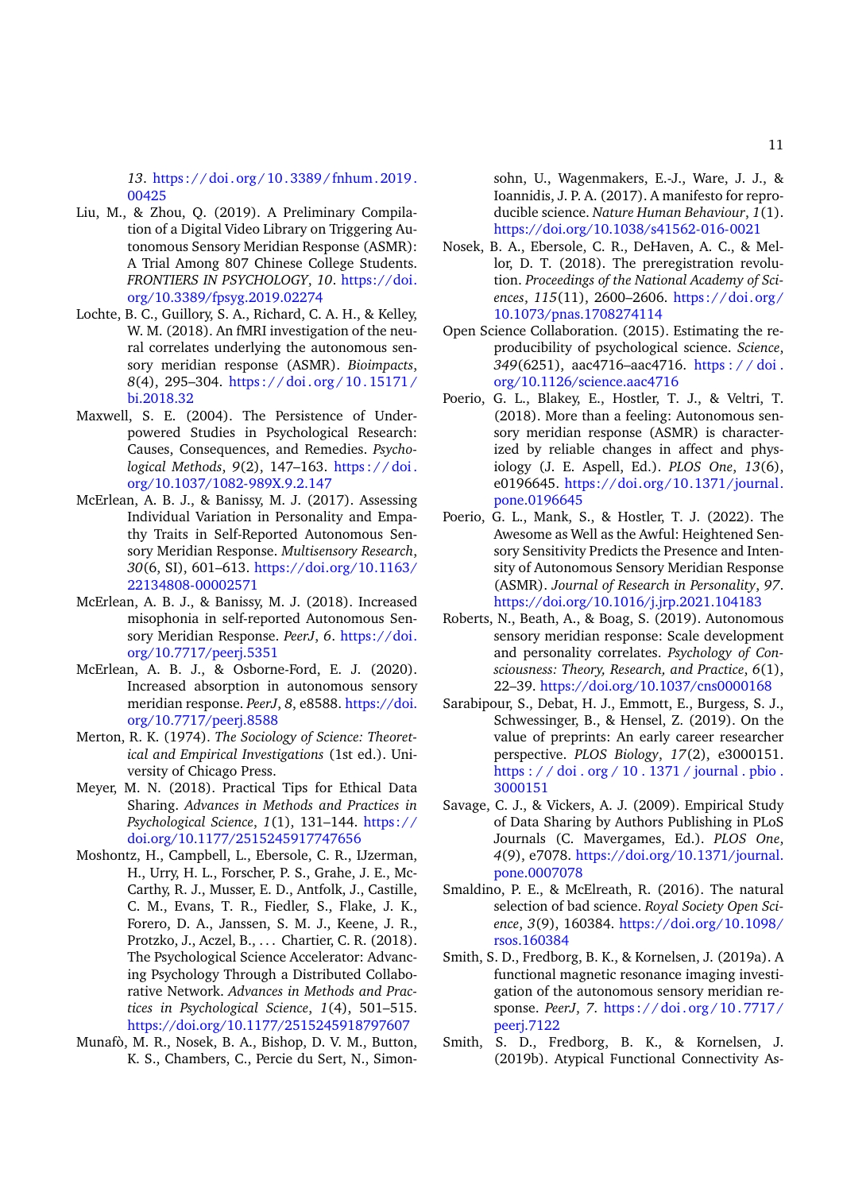*13*. [https://doi.org/10.3389/fnhum.2019.](https://doi.org/10.3389/fnhum.2019.00425) [00425](https://doi.org/10.3389/fnhum.2019.00425)

- <span id="page-10-8"></span>Liu, M., & Zhou, Q. (2019). A Preliminary Compilation of a Digital Video Library on Triggering Autonomous Sensory Meridian Response (ASMR): A Trial Among 807 Chinese College Students. *FRONTIERS IN PSYCHOLOGY*, *10*. [https://doi.](https://doi.org/10.3389/fpsyg.2019.02274) [org/10.3389/fpsyg.2019.02274](https://doi.org/10.3389/fpsyg.2019.02274)
- <span id="page-10-4"></span>Lochte, B. C., Guillory, S. A., Richard, C. A. H., & Kelley, W. M. (2018). An fMRI investigation of the neural correlates underlying the autonomous sensory meridian response (ASMR). *Bioimpacts*, *8*(4), 295–304. [https : / / doi . org / 10 . 15171 /](https://doi.org/10.15171/bi.2018.32) [bi.2018.32](https://doi.org/10.15171/bi.2018.32)
- <span id="page-10-18"></span>Maxwell, S. E. (2004). The Persistence of Underpowered Studies in Psychological Research: Causes, Consequences, and Remedies. *Psychological Methods*, *9*(2), 147–163. [https : / / doi .](https://doi.org/10.1037/1082-989X.9.2.147) [org/10.1037/1082-989X.9.2.147](https://doi.org/10.1037/1082-989X.9.2.147)
- <span id="page-10-1"></span>McErlean, A. B. J., & Banissy, M. J. (2017). Assessing Individual Variation in Personality and Empathy Traits in Self-Reported Autonomous Sensory Meridian Response. *Multisensory Research*, *30*(6, SI), 601–613. [https://doi.org/10.1163/](https://doi.org/10.1163/22134808-00002571) [22134808-00002571](https://doi.org/10.1163/22134808-00002571)
- <span id="page-10-2"></span>McErlean, A. B. J., & Banissy, M. J. (2018). Increased misophonia in self-reported Autonomous Sensory Meridian Response. *PeerJ*, *6*. [https://doi.](https://doi.org/10.7717/peerj.5351) [org/10.7717/peerj.5351](https://doi.org/10.7717/peerj.5351)
- <span id="page-10-3"></span>McErlean, A. B. J., & Osborne-Ford, E. J. (2020). Increased absorption in autonomous sensory meridian response. *PeerJ*, *8*, e8588. [https://doi.](https://doi.org/10.7717/peerj.8588) [org/10.7717/peerj.8588](https://doi.org/10.7717/peerj.8588)
- <span id="page-10-14"></span>Merton, R. K. (1974). *The Sociology of Science: Theoretical and Empirical Investigations* (1st ed.). University of Chicago Press.
- <span id="page-10-15"></span>Meyer, M. N. (2018). Practical Tips for Ethical Data Sharing. *Advances in Methods and Practices in Psychological Science*, *1*(1), 131–144. [https://](https://doi.org/10.1177/2515245917747656) [doi.org/10.1177/2515245917747656](https://doi.org/10.1177/2515245917747656)
- <span id="page-10-19"></span>Moshontz, H., Campbell, L., Ebersole, C. R., IJzerman, H., Urry, H. L., Forscher, P. S., Grahe, J. E., Mc-Carthy, R. J., Musser, E. D., Antfolk, J., Castille, C. M., Evans, T. R., Fiedler, S., Flake, J. K., Forero, D. A., Janssen, S. M. J., Keene, J. R., Protzko, J., Aczel, B., . . . Chartier, C. R. (2018). The Psychological Science Accelerator: Advancing Psychology Through a Distributed Collaborative Network. *Advances in Methods and Practices in Psychological Science*, *1*(4), 501–515. <https://doi.org/10.1177/2515245918797607>
- <span id="page-10-9"></span>Munafò, M. R., Nosek, B. A., Bishop, D. V. M., Button, K. S., Chambers, C., Percie du Sert, N., Simon-

sohn, U., Wagenmakers, E.-J., Ware, J. J., & Ioannidis, J. P. A. (2017). A manifesto for reproducible science. *Nature Human Behaviour*, *1*(1). <https://doi.org/10.1038/s41562-016-0021>

- <span id="page-10-11"></span>Nosek, B. A., Ebersole, C. R., DeHaven, A. C., & Mellor, D. T. (2018). The preregistration revolution. *Proceedings of the National Academy of Sciences*, *115*(11), 2600–2606. [https://doi.org/](https://doi.org/10.1073/pnas.1708274114) [10.1073/pnas.1708274114](https://doi.org/10.1073/pnas.1708274114)
- <span id="page-10-17"></span>Open Science Collaboration. (2015). Estimating the reproducibility of psychological science. *Science*, *349*(6251), aac4716–aac4716. [https : / / doi .](https://doi.org/10.1126/science.aac4716) [org/10.1126/science.aac4716](https://doi.org/10.1126/science.aac4716)
- <span id="page-10-0"></span>Poerio, G. L., Blakey, E., Hostler, T. J., & Veltri, T. (2018). More than a feeling: Autonomous sensory meridian response (ASMR) is characterized by reliable changes in affect and physiology (J. E. Aspell, Ed.). *PLOS One*, *13*(6), e0196645. [https://doi.org/10.1371/journal.](https://doi.org/10.1371/journal.pone.0196645) [pone.0196645](https://doi.org/10.1371/journal.pone.0196645)
- <span id="page-10-12"></span>Poerio, G. L., Mank, S., & Hostler, T. J. (2022). The Awesome as Well as the Awful: Heightened Sensory Sensitivity Predicts the Presence and Intensity of Autonomous Sensory Meridian Response (ASMR). *Journal of Research in Personality*, *97*. <https://doi.org/10.1016/j.jrp.2021.104183>
- <span id="page-10-7"></span>Roberts, N., Beath, A., & Boag, S. (2019). Autonomous sensory meridian response: Scale development and personality correlates. *Psychology of Consciousness: Theory, Research, and Practice*, *6*(1), 22–39. <https://doi.org/10.1037/cns0000168>
- <span id="page-10-16"></span>Sarabipour, S., Debat, H. J., Emmott, E., Burgess, S. J., Schwessinger, B., & Hensel, Z. (2019). On the value of preprints: An early career researcher perspective. *PLOS Biology*, *17*(2), e3000151. [https : / / doi . org / 10 . 1371 / journal . pbio .](https://doi.org/10.1371/journal.pbio.3000151) [3000151](https://doi.org/10.1371/journal.pbio.3000151)
- <span id="page-10-13"></span>Savage, C. J., & Vickers, A. J. (2009). Empirical Study of Data Sharing by Authors Publishing in PLoS Journals (C. Mavergames, Ed.). *PLOS One*, *4*(9), e7078. [https://doi.org/10.1371/journal.](https://doi.org/10.1371/journal.pone.0007078) [pone.0007078](https://doi.org/10.1371/journal.pone.0007078)
- <span id="page-10-10"></span>Smaldino, P. E., & McElreath, R. (2016). The natural selection of bad science. *Royal Society Open Science*, *3*(9), 160384. [https://doi.org/10.1098/](https://doi.org/10.1098/rsos.160384) [rsos.160384](https://doi.org/10.1098/rsos.160384)
- <span id="page-10-5"></span>Smith, S. D., Fredborg, B. K., & Kornelsen, J. (2019a). A functional magnetic resonance imaging investigation of the autonomous sensory meridian response. *PeerJ*, *7*. [https : / / doi . org / 10 . 7717 /](https://doi.org/10.7717/peerj.7122) [peerj.7122](https://doi.org/10.7717/peerj.7122)
- <span id="page-10-6"></span>Smith, S. D., Fredborg, B. K., & Kornelsen, J. (2019b). Atypical Functional Connectivity As-